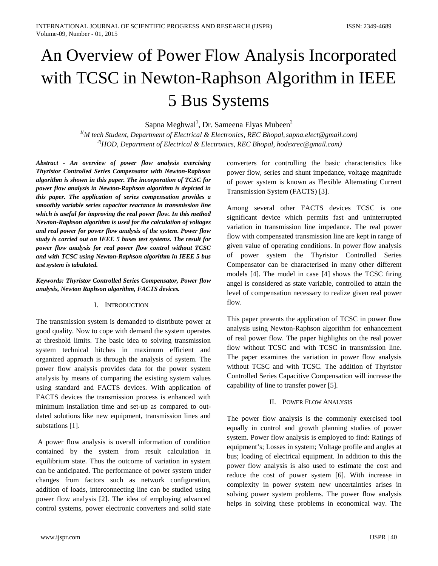# An Overview of Power Flow Analysis Incorporated with TCSC in Newton-Raphson Algorithm in IEEE 5 Bus Systems

Sapna Meghwal<sup>1</sup>, Dr. Sameena Elyas Mubeen<sup>2</sup>

*1( M tech Student, Department of Electrical & Electronics, REC Bhopal,sapna.elect@gmail.com) 2( HOD, Department of Electrical & Electronics, REC Bhopal, hodexrec@gmail.com)*

*Abstract - An overview of power flow analysis exercising Thyristor Controlled Series Compensator with Newton-Raphson algorithm is shown in this paper. The incorporation of TCSC for power flow analysis in Newton-Raphson algorithm is depicted in this paper. The application of series compensation provides a smoothly variable series capacitor reactance in transmission line which is useful for improving the real power flow. In this method Newton-Raphson algorithm is used for the calculation of voltages and real power for power flow analysis of the system. Power flow study is carried out on IEEE 5 buses test systems. The result for power flow analysis for real power flow control without TCSC and with TCSC using Newton-Raphson algorithm in IEEE 5 bus test system is tabulated.*

*Keywords: Thyristor Controlled Series Compensator, Power flow analysis, Newton Raphson algorithm, FACTS devices.*

# I. INTRODUCTION

The transmission system is demanded to distribute power at good quality. Now to cope with demand the system operates at threshold limits. The basic idea to solving transmission system technical hitches in maximum efficient and organized approach is through the analysis of system. The power flow analysis provides data for the power system analysis by means of comparing the existing system values using standard and FACTS devices. With application of FACTS devices the transmission process is enhanced with minimum installation time and set-up as compared to outdated solutions like new equipment, transmission lines and substations [1].

A power flow analysis is overall information of condition contained by the system from result calculation in equilibrium state. Thus the outcome of variation in system can be anticipated. The performance of power system under changes from factors such as network configuration, addition of loads, interconnecting line can be studied using power flow analysis [2]. The idea of employing advanced control systems, power electronic converters and solid state

converters for controlling the basic characteristics like power flow, series and shunt impedance, voltage magnitude of power system is known as Flexible Alternating Current Transmission System (FACTS) [3].

Among several other FACTS devices TCSC is one significant device which permits fast and uninterrupted variation in transmission line impedance. The real power flow with compensated transmission line are kept in range of given value of operating conditions. In power flow analysis of power system the Thyristor Controlled Series Compensator can be characterised in many other different models [4]. The model in case [4] shows the TCSC firing angel is considered as state variable, controlled to attain the level of compensation necessary to realize given real power flow.

This paper presents the application of TCSC in power flow analysis using Newton-Raphson algorithm for enhancement of real power flow. The paper highlights on the real power flow without TCSC and with TCSC in transmission line. The paper examines the variation in power flow analysis without TCSC and with TCSC. The addition of Thyristor Controlled Series Capacitive Compensation will increase the capability of line to transfer power [5].

# II. POWER FLOW ANALYSIS

The power flow analysis is the commonly exercised tool equally in control and growth planning studies of power system. Power flow analysis is employed to find: Ratings of equipment's; Losses in system; Voltage profile and angles at bus; loading of electrical equipment. In addition to this the power flow analysis is also used to estimate the cost and reduce the cost of power system [6]. With increase in complexity in power system new uncertainties arises in solving power system problems. The power flow analysis helps in solving these problems in economical way. The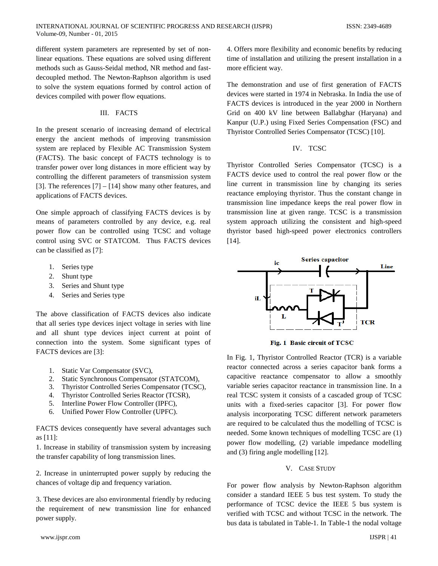different system parameters are represented by set of nonlinear equations. These equations are solved using different methods such as Gauss-Seidal method, NR method and fastdecoupled method. The Newton-Raphson algorithm is used to solve the system equations formed by control action of devices compiled with power flow equations.

#### III. FACTS

In the present scenario of increasing demand of electrical energy the ancient methods of improving transmission system are replaced by Flexible AC Transmission System (FACTS). The basic concept of FACTS technology is to transfer power over long distances in more efficient way by controlling the different parameters of transmission system [3]. The references [7] – [14] show many other features, and applications of FACTS devices.

One simple approach of classifying FACTS devices is by means of parameters controlled by any device, e.g. real power flow can be controlled using TCSC and voltage control using SVC or STATCOM. Thus FACTS devices can be classified as [7]:

- 1. Series type
- 2. Shunt type
- 3. Series and Shunt type
- 4. Series and Series type

The above classification of FACTS devices also indicate that all series type devices inject voltage in series with line and all shunt type devices inject current at point of connection into the system. Some significant types of FACTS devices are [3]:

- 1. Static Var Compensator (SVC),
- 2. Static Synchronous Compensator (STATCOM),
- 3. Thyristor Controlled Series Compensator (TCSC),
- 4. Thyristor Controlled Series Reactor (TCSR),
- 5. Interline Power Flow Controller (IPFC),
- 6. Unified Power Flow Controller (UPFC).

FACTS devices consequently have several advantages such as [11]:

1. Increase in stability of transmission system by increasing the transfer capability of long transmission lines.

2. Increase in uninterrupted power supply by reducing the chances of voltage dip and frequency variation.

3. These devices are also environmental friendly by reducing the requirement of new transmission line for enhanced power supply.

4. Offers more flexibility and economic benefits by reducing time of installation and utilizing the present installation in a more efficient way.

The demonstration and use of first generation of FACTS devices were started in 1974 in Nebraska. In India the use of FACTS devices is introduced in the year 2000 in Northern Grid on 400 kV line between Ballabghar (Haryana) and Kanpur (U.P.) using Fixed Series Compensation (FSC) and Thyristor Controlled Series Compensator (TCSC) [10].

#### IV. TCSC

Thyristor Controlled Series Compensator (TCSC) is a FACTS device used to control the real power flow or the line current in transmission line by changing its series reactance employing thyristor. Thus the constant change in transmission line impedance keeps the real power flow in transmission line at given range. TCSC is a transmission system approach utilizing the consistent and high-speed thyristor based high-speed power electronics controllers [14].



Fig. 1 Basic circuit of TCSC

In Fig. 1, Thyristor Controlled Reactor (TCR) is a variable reactor connected across a series capacitor bank forms a capacitive reactance compensator to allow a smoothly variable series capacitor reactance in transmission line. In a real TCSC system it consists of a cascaded group of TCSC units with a fixed-series capacitor [3]. For power flow analysis incorporating TCSC different network parameters are required to be calculated thus the modelling of TCSC is needed. Some known techniques of modelling TCSC are (1) power flow modelling, (2) variable impedance modelling and (3) firing angle modelling [12].

## V. CASE STUDY

For power flow analysis by Newton-Raphson algorithm consider a standard IEEE 5 bus test system. To study the performance of TCSC device the IEEE 5 bus system is verified with TCSC and without TCSC in the network. The bus data is tabulated in Table-1. In Table-1 the nodal voltage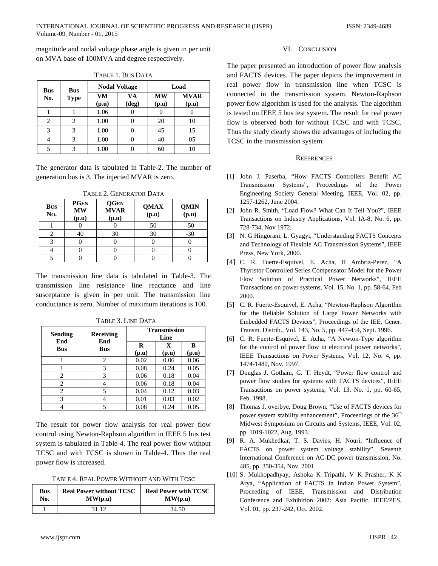magnitude and nodal voltage phase angle is given in per unit on MVA base of 100MVA and degree respectively.

| <b>Bus</b> | <b>Bus</b>  | <b>Nodal Voltage</b> |             | Load               |                      |
|------------|-------------|----------------------|-------------|--------------------|----------------------|
| No.        | <b>Type</b> | <b>VM</b><br>(p.u)   | VA<br>(deg) | <b>MW</b><br>(p.u) | <b>MVAR</b><br>(p.u) |
|            |             | 1.06                 |             |                    |                      |
|            | 2           | 1.00                 |             | 20                 | 10                   |
| 3          | 3           | 1.00                 |             | 45                 | 15                   |
|            | 3           | 1.00                 |             | 40                 | 05                   |
|            | 3           | 1.00                 |             | 60                 | 10                   |

TABLE 1. BUS DATA

The generator data is tabulated in Table-2. The number of generation bus is 3. The injected MVAR is zero.

| <b>BUS</b><br>No. | <b>PGEN</b><br><b>MW</b><br>(p.u) | <b>QGEN</b><br><b>MVAR</b><br>(p.u) | <b>QMAX</b><br>(p.u) | <b>QMIN</b><br>(p.u) |
|-------------------|-----------------------------------|-------------------------------------|----------------------|----------------------|
|                   |                                   |                                     | 50                   | $-50$                |
|                   | 40                                | 30                                  | 30                   | $-30$                |
|                   |                                   |                                     |                      |                      |
|                   |                                   |                                     |                      |                      |
|                   |                                   |                                     |                      |                      |

TABLE 2. GENERATOR DATA

The transmission line data is tabulated in Table-3. The transmission line resistance line reactance and line susceptance is given in per unit. The transmission line conductance is zero. Number of maximum iterations is 100.

| <b>Sending</b><br>End | Receiving<br>End | <b>Transmission</b><br>Line |                      |            |
|-----------------------|------------------|-----------------------------|----------------------|------------|
| <b>Bus</b>            | <b>Bus</b>       | R<br>(p.u)                  | $\mathbf x$<br>(p.u) | B<br>(p.u) |
|                       | 2                | 0.02                        | 0.06                 | 0.06       |
|                       | 3                | 0.08                        | 0.24                 | 0.05       |
| 2                     | 3                | 0.06                        | 0.18                 | 0.04       |
| 2                     |                  | 0.06                        | 0.18                 | 0.04       |
| 2                     | 5                | 0.04                        | 0.12                 | 0.03       |
| 3                     |                  | 0.01                        | 0.03                 | 0.02       |
|                       | 5                | 0.08                        | 0.24                 | 0.05       |

TABLE 3. LINE DATA

The result for power flow analysis for real power flow control using Newton-Raphson algorithm in IEEE 5 bus test system is tabulated in Table-4. The real power flow without TCSC and with TCSC is shown in Table-4. Thus the real power flow is increased.

TABLE 4. REAL POWER WITHOUT AND WITH TCSC

| Bus | <b>Real Power without TCSC</b>       | <b>Real Power with TCSC</b>          |  |
|-----|--------------------------------------|--------------------------------------|--|
| No. | $\mathbf{MW}(\mathbf{p}.\mathbf{u})$ | $\mathbf{MW}(\mathbf{p}.\mathbf{u})$ |  |
|     | 31.12                                | 34.50                                |  |

### VI. CONCLUSION

The paper presented an introduction of power flow analysis and FACTS devices. The paper depicts the improvement in real power flow in transmission line when TCSC is connected in the transmission system. Newton-Raphson power flow algorithm is used for the analysis. The algorithm is tested on IEEE 5 bus test system. The result for real power flow is observed both for without TCSC and with TCSC. Thus the study clearly shows the advantages of including the TCSC in the transmission system.

## **REFERENCES**

- [1] John J. Paserba, "How FACTS Controllers Benefit AC Transmission Systems", Proceedings of the Power Engineering Society General Meeting, IEEE, Vol. 02, pp. 1257-1262, June 2004.
- [2] John R. Smith, "Load Flow? What Can It Tell You?", IEEE Transactions on Industry Applications, Vol. IA-8, No. 6, pp. 728-734, Nov 1972.
- [3] N. G Hingorani, L. Gyugyi, "Understanding FACTS Concepts and Technology of Flexible AC Transmission Systems", IEEE Press, New York, 2000.
- [4] C. R. Fuerte-Esquivel, E. Acha, H Ambriz-Perez, "A Thyristor Controlled Series Compensator Model for the Power Flow Solution of Practical Power Networks", IEEE Transactions on power systems, Vol. 15, No. 1, pp. 58-64, Feb 2000.
- [5] C. R. Fuerte-Esquivel, E. Acha, "Newton-Raphson Algorithm for the Reliable Solution of Large Power Networks with Embedded FACTS Devices", Proceedings of the IEE, Gener. Transm. Distrib., Vol. 143, No. 5, pp. 447-454, Sept. 1996.
- [6] C. R. Fuerte-Esquivel, E. Acha, "A Newton-Type algorithm for the control of power flow in electrical power networks", IEEE Transactions on Power Systems, Vol. 12, No. 4, pp. 1474-1480, Nov. 1997.
- [7] Douglas J. Gotham, G. T. Heydt, "Power flow control and power flow studies for systems with FACTS devices", IEEE Transactions on power systems, Vol. 13, No. 1, pp. 60-65, Feb. 1998.
- [8] Thomas J. overbye, Doug Brown, "Use of FACTS devices for power system stability enhancement", Proceedings of the 36<sup>th</sup> Midwest Symposium on Circuits and Systems, IEEE, Vol. 02, pp. 1019-1022, Aug. 1993.
- [9] R. A. Mukhedkar, T. S. Davies, H. Nouri, "Influence of FACTS on power system voltage stability", Seventh International Conference on AC-DC power transmission, No. 485, pp. 350-354, Nov. 2001.
- [10] S. Mukhopadhyay, Ashoka K Tripathi, V K Prasher, K K Arya, "Application of FACTS in Indian Power System", Proceeding of IEEE, Transmission and Distribution Conference and Exhibition 2002: Asia Pacific. IEEE/PES, Vol. 01, pp. 237-242, Oct. 2002.